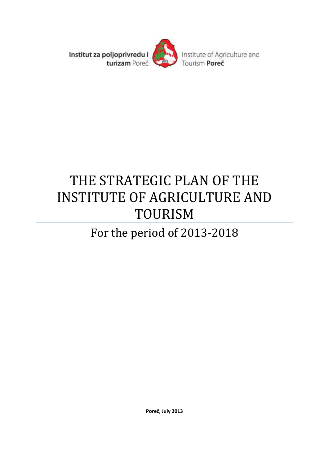

# THE STRATEGIC PLAN OF THE INSTITUTE OF AGRICULTURE AND TOURISM

# For the period of 2013-2018

**Poreč, July 2013**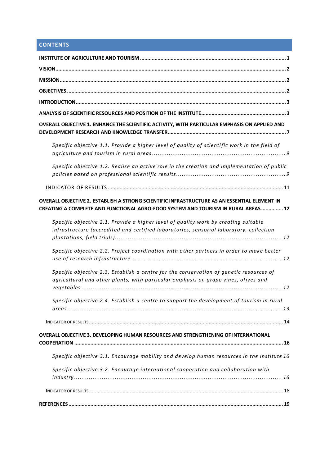## **CONTENTS**

| OVERALL OBJECTIVE 1. ENHANCE THE SCIENTIFIC ACTIVITY, WITH PARTICULAR EMPHASIS ON APPLIED AND                                                                                     |
|-----------------------------------------------------------------------------------------------------------------------------------------------------------------------------------|
| Specific objective 1.1. Provide a higher level of quality of scientific work in the field of                                                                                      |
| Specific objective 1.2. Realise an active role in the creation and implementation of public                                                                                       |
|                                                                                                                                                                                   |
| OVERALL OBJECTIVE 2. ESTABLISH A STRONG SCIENTIFIC INFRASTRUCTURE AS AN ESSENTIAL ELEMENT IN<br>CREATING A COMPLETE AND FUNCTIONAL AGRO-FOOD SYSTEM AND TOURISM IN RURAL AREAS 12 |
| Specific objective 2.1. Provide a higher level of quality work by creating suitable<br>infrastructure (accredited and certified laboratories, sensorial laboratory, collection    |
| Specific objective 2.2. Project coordination with other partners in order to make better                                                                                          |
| Specific objective 2.3. Establish a centre for the conservation of genetic resources of<br>agricultural and other plants, with particular emphasis on grape vines, olives and     |
| Specific objective 2.4. Establish a centre to support the development of tourism in rural                                                                                         |
|                                                                                                                                                                                   |
| OVERALL OBJECTIVE 3. DEVELOPING HUMAN RESOURCES AND STRENGTHENING OF INTERNATIONAL                                                                                                |
| Specific objective 3.1. Encourage mobility and develop human resources in the Institute 16                                                                                        |
| Specific objective 3.2. Encourage international cooperation and collaboration with                                                                                                |
|                                                                                                                                                                                   |
|                                                                                                                                                                                   |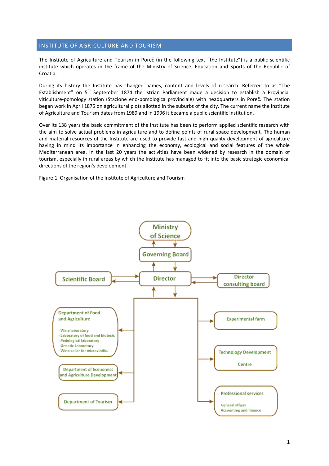## <span id="page-2-0"></span>INSTITUTE OF AGRICULTURE AND TOURISM

The Institute of Agriculture and Tourism in Poreč (in the following text "the Institute") is a public scientific institute which operates in the frame of the Ministry of Science, Education and Sports of the Republic of Croatia.

During its history the Institute has changed names, content and levels of research. Referred to as "The Establishment" on 5<sup>th</sup> September 1874 the Istrian Parliament made a decision to establish a Provincial viticulture-pomology station (Stazione eno-pomologica provinciale) with headquarters in Poreč. The station began work in April 1875 on agricultural plots allotted in the suburbs of the city. The current name the Institute of Agriculture and Tourism dates from 1989 and in 1996 it became a public scientific institution.

Over its 138 years the basic commitment of the Institute has been to perform applied scientific research with the aim to solve actual problems in agriculture and to define points of rural space development. The human and material resources of the Institute are used to provide fast and high quality development of agriculture having in mind its importance in enhancing the economy, ecological and social features of the whole Mediterranean area. In the last 20 years the activities have been widened by research in the domain of tourism, especially in rural areas by which the Institute has managed to fit into the basic strategic economical directions of the region's development.

Figure 1. Organisation of the Institute of Agriculture and Tourism

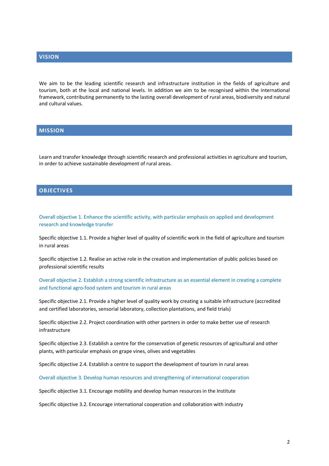## <span id="page-3-0"></span>**VISION**

We aim to be the leading scientific research and infrastructure institution in the fields of agriculture and tourism, both at the local and national levels. In addition we aim to be recognised within the international framework, contributing permanently to the lasting overall development of rural areas, biodiversity and natural and cultural values.

## <span id="page-3-1"></span>**MISSION**

Learn and transfer knowledge through scientific research and professional activities in agriculture and tourism, in order to achieve sustainable development of rural areas.

### <span id="page-3-2"></span>**OBJECTIVES**

Overall objective 1. Enhance the scientific activity, with particular emphasis on applied and development research and knowledge transfer

Specific objective 1.1. Provide a higher level of quality of scientific work in the field of agriculture and tourism in rural areas

Specific objective 1.2. Realise an active role in the creation and implementation of public policies based on professional scientific results

Overall objective 2. Establish a strong scientific infrastructure as an essential element in creating a complete and functional agro-food system and tourism in rural areas

Specific objective 2.1. Provide a higher level of quality work by creating a suitable infrastructure (accredited and certified laboratories, sensorial laboratory, collection plantations, and field trials)

Specific objective 2.2. Project coordination with other partners in order to make better use of research infrastructure

Specific objective 2.3. Establish a centre for the conservation of genetic resources of agricultural and other plants, with particular emphasis on grape vines, olives and vegetables

Specific objective 2.4. Establish a centre to support the development of tourism in rural areas

Overall objective 3. Develop human resources and strengthening of international cooperation

Specific objective 3.1. Encourage mobility and develop human resources in the Institute

Specific objective 3.2. Encourage international cooperation and collaboration with industry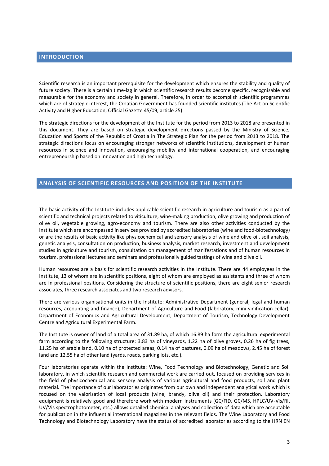<span id="page-4-0"></span>Scientific research is an important prerequisite for the development which ensures the stability and quality of future society. There is a certain time-lag in which scientific research results become specific, recognisable and measurable for the economy and society in general. Therefore, in order to accomplish scientific programmes which are of strategic interest, the Croatian Government has founded scientific institutes (The Act on Scientific Activity and Higher Education, Official Gazette 45/09, article 25).

The strategic directions for the development of the Institute for the period from 2013 to 2018 are presented in this document. They are based on strategic development directions passed by the Ministry of Science, Education and Sports of the Republic of Croatia in The Strategic Plan for the period from 2013 to 2018. The strategic directions focus on encouraging stronger networks of scientific institutions, development of human resources in science and innovation, encouraging mobility and international cooperation, and encouraging entrepreneurship based on innovation and high technology.

### <span id="page-4-1"></span>**ANALYSIS OF SCIENTIFIC RESOURCES AND POSITION OF THE INSTITUTE**

The basic activity of the Institute includes applicable scientific research in agriculture and tourism as a part of scientific and technical projects related to viticulture, wine-making production, olive growing and production of olive oil, vegetable growing, agro-economy and tourism. There are also other activities conducted by the Institute which are encompassed in services provided by accredited laboratories (wine and food-biotechnology) or are the results of basic activity like physicochemical and sensory analysis of wine and olive oil, soil analysis, genetic analysis, consultation on production, business analysis, market research, investment and development studies in agriculture and tourism, consultation on management of manifestations and of human resources in tourism, professional lectures and seminars and professionally guided tastings of wine and olive oil.

Human resources are a basis for scientific research activities in the Institute. There are 44 employees in the Institute, 13 of whom are in scientific positions, eight of whom are employed as assistants and three of whom are in professional positions. Considering the structure of scientific positions, there are eight senior research associates, three research associates and two research advisors.

There are various organisational units in the Institute: Administrative Department (general, legal and human resources, accounting and finance), Department of Agriculture and Food (laboratory, mini-vinification cellar), Department of Economics and Agricultural Development, Department of Tourism, Technology Development Centre and Agricultural Experimental Farm.

The Institute is owner of land of a total area of 31.89 ha, of which 16.89 ha form the agricultural experimental farm according to the following structure: 3.83 ha of vineyards, 1.22 ha of olive groves, 0.26 ha of fig trees, 11.25 ha of arable land, 0.10 ha of protected areas, 0.14 ha of pastures, 0.09 ha of meadows, 2.45 ha of forest land and 12.55 ha of other land (yards, roads, parking lots, etc.).

Four laboratories operate within the Institute: Wine, Food Technology and Biotechnology, Genetic and Soil laboratory, in which scientific research and commercial work are carried out, focused on providing services in the field of physicochemical and sensory analysis of various agricultural and food products, soil and plant material. The importance of our laboratories originates from our own and independent analytical work which is focused on the valorisation of local products (wine, brandy, olive oil) and their protection. Laboratory equipment is relatively good and therefore work with modern instruments (GC/FID, GC/MS, HPLC/UV-Vis/RI, UV/Vis spectrophotometer, etc.) allows detailed chemical analyses and collection of data which are acceptable for publication in the influential international magazines in the relevant fields. The Wine Laboratory and Food Technology and Biotechnology Laboratory have the status of accredited laboratories according to the HRN EN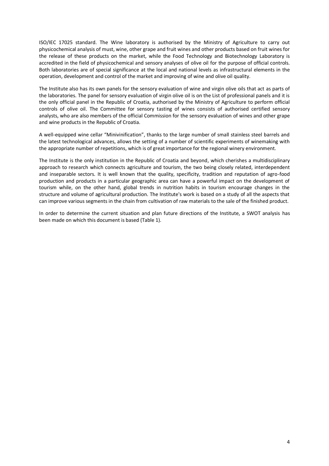ISO/IEC 17025 standard. The Wine laboratory is authorised by the Ministry of Agriculture to carry out physicochemical analysis of must, wine, other grape and fruit wines and other products based on fruit wines for the release of these products on the market, while the Food Technology and Biotechnology Laboratory is accredited in the field of physicochemical and sensory analyses of olive oil for the purpose of official controls. Both laboratories are of special significance at the local and national levels as infrastructural elements in the operation, development and control of the market and improving of wine and olive oil quality.

The Institute also has its own panels for the sensory evaluation of wine and virgin olive oils that act as parts of the laboratories. The panel for sensory evaluation of virgin olive oil is on the List of professional panels and it is the only official panel in the Republic of Croatia, authorised by the Ministry of Agriculture to perform official controls of olive oil. The Committee for sensory tasting of wines consists of authorised certified sensory analysts, who are also members of the official Commission for the sensory evaluation of wines and other grape and wine products in the Republic of Croatia.

A well-equipped wine cellar "Minivinification", thanks to the large number of small stainless steel barrels and the latest technological advances, allows the setting of a number of scientific experiments of winemaking with the appropriate number of repetitions, which is of great importance for the regional winery environment.

The Institute is the only institution in the Republic of Croatia and beyond, which cherishes a multidisciplinary approach to research which connects agriculture and tourism, the two being closely related, interdependent and inseparable sectors. It is well known that the quality, specificity, tradition and reputation of agro-food production and products in a particular geographic area can have a powerful impact on the development of tourism while, on the other hand, global trends in nutrition habits in tourism encourage changes in the structure and volume of agricultural production. The Institute's work is based on a study of all the aspects that can improve various segments in the chain from cultivation of raw materials to the sale of the finished product.

In order to determine the current situation and plan future directions of the Institute, a SWOT analysis has been made on which this document is based (Table 1).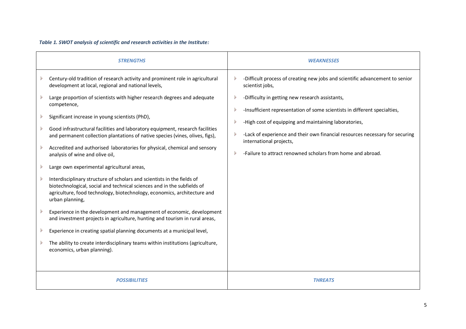## *Table 1. SWOT analysis of scientific and research activities in the Institute:*

| <b>STRENGTHS</b>                                                                                                                                                                                                                                                                                                                                                                                                                                                                                                                                                                                                                                                                                                                                                                                                                                                                        | <b>WEAKNESSES</b>                                                                                                                                                                                                                                                                                                                                               |
|-----------------------------------------------------------------------------------------------------------------------------------------------------------------------------------------------------------------------------------------------------------------------------------------------------------------------------------------------------------------------------------------------------------------------------------------------------------------------------------------------------------------------------------------------------------------------------------------------------------------------------------------------------------------------------------------------------------------------------------------------------------------------------------------------------------------------------------------------------------------------------------------|-----------------------------------------------------------------------------------------------------------------------------------------------------------------------------------------------------------------------------------------------------------------------------------------------------------------------------------------------------------------|
| Century-old tradition of research activity and prominent role in agricultural<br>development at local, regional and national levels,                                                                                                                                                                                                                                                                                                                                                                                                                                                                                                                                                                                                                                                                                                                                                    | -Difficult process of creating new jobs and scientific advancement to senior<br>scientist jobs,                                                                                                                                                                                                                                                                 |
| Large proportion of scientists with higher research degrees and adequate<br>competence,<br>Significant increase in young scientists (PhD),<br>Good infrastructural facilities and laboratory equipment, research facilities<br>and permanent collection plantations of native species (vines, olives, figs),<br>Accredited and authorised laboratories for physical, chemical and sensory<br>analysis of wine and olive oil,<br>Large own experimental agricultural areas,<br>Interdisciplinary structure of scholars and scientists in the fields of<br>biotechnological, social and technical sciences and in the subfields of<br>agriculture, food technology, biotechnology, economics, architecture and<br>urban planning,<br>Experience in the development and management of economic, development<br>and investment projects in agriculture, hunting and tourism in rural areas, | -Difficulty in getting new research assistants,<br>-Insufficient representation of some scientists in different specialties,<br>-High cost of equipping and maintaining laboratories,<br>-Lack of experience and their own financial resources necessary for securing<br>international projects,<br>-Failure to attract renowned scholars from home and abroad. |
| Experience in creating spatial planning documents at a municipal level,<br>The ability to create interdisciplinary teams within institutions (agriculture,<br>economics, urban planning).                                                                                                                                                                                                                                                                                                                                                                                                                                                                                                                                                                                                                                                                                               |                                                                                                                                                                                                                                                                                                                                                                 |
| <b>POSSIBILITIES</b>                                                                                                                                                                                                                                                                                                                                                                                                                                                                                                                                                                                                                                                                                                                                                                                                                                                                    | <b>THREATS</b>                                                                                                                                                                                                                                                                                                                                                  |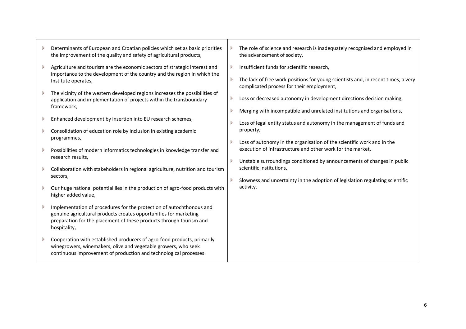| Determinants of European and Croatian policies which set as basic priorities |
|------------------------------------------------------------------------------|
| the improvement of the quality and safety of agricultural products,          |

- Agriculture and tourism are the economic sectors of strategic interest and importance to the development of the country and the region in which the Institute operates,
- The vicinity of the western developed regions increases the possibilities of application and implementation of projects within the transboundary framework,
- Enhanced development by insertion into EU research schemes, D
- Consolidation of education role by inclusion in existing academic programmes,
- Possibilities of modern informatics technologies in knowledge transfer and research results,
- Collaboration with stakeholders in regional agriculture, nutrition and tourism sectors,
- Our huge national potential lies in the production of agro-food products with higher added value,
- Implementation of procedures for the protection of autochthonous and genuine agricultural products creates opportunities for marketing preparation for the placement of these products through tourism and hospitality,
- Cooperation with established producers of agro-food products, primarily winegrowers, winemakers, olive and vegetable growers, who seek continuous improvement of production and technological processes.
- The role of science and research is inadequately recognised and employed in the advancement of society,
- Insufficient funds for scientific research,
- The lack of free work positions for young scientists and, in recent times, a very complicated process for their employment,
- Loss or decreased autonomy in development directions decision making,
- Merging with incompatible and unrelated institutions and organisations,
- Loss of legal entity status and autonomy in the management of funds and property,
- Loss of autonomy in the organisation of the scientific work and in the execution of infrastructure and other work for the market,
- Unstable surroundings conditioned by announcements of changes in public scientific institutions,
- Slowness and uncertainty in the adoption of legislation regulating scientific activity.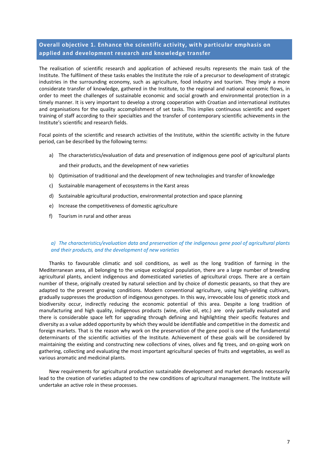## <span id="page-8-0"></span>**Overall objective 1. Enhance the scientific activity, with particular emphasis on applied and development research and knowledge transfer**

The realisation of scientific research and application of achieved results represents the main task of the Institute. The fulfilment of these tasks enables the Institute the role of a precursor to development of strategic industries in the surrounding economy, such as agriculture, food industry and tourism. They imply a more considerate transfer of knowledge, gathered in the Institute, to the regional and national economic flows, in order to meet the challenges of sustainable economic and social growth and environmental protection in a timely manner. It is very important to develop a strong cooperation with Croatian and international institutes and organisations for the quality accomplishment of set tasks. This implies continuous scientific and expert training of staff according to their specialties and the transfer of contemporary scientific achievements in the Institute's scientific and research fields.

Focal points of the scientific and research activities of the Institute, within the scientific activity in the future period, can be described by the following terms:

- a) The characteristics/evaluation of data and preservation of indigenous gene pool of agricultural plants and their products, and the development of new varieties
- b) Optimisation of traditional and the development of new technologies and transfer of knowledge
- c) Sustainable management of ecosystems in the Karst areas
- d) Sustainable agricultural production, environmental protection and space planning
- e) Increase the competitiveness of domestic agriculture
- f) Tourism in rural and other areas

#### *a) The characteristics/evaluation data and preservation of the indigenous gene pool of agricultural plants and their products, and the development of new varieties*

Thanks to favourable climatic and soil conditions, as well as the long tradition of farming in the Mediterranean area, all belonging to the unique ecological population, there are a large number of breeding agricultural plants, ancient indigenous and domesticated varieties of agricultural crops. There are a certain number of these, originally created by natural selection and by choice of domestic peasants, so that they are adapted to the present growing conditions. Modern conventional agriculture, using high-yielding cultivars, gradually suppresses the production of indigenous genotypes. In this way, irrevocable loss of genetic stock and biodiversity occur, indirectly reducing the economic potential of this area. Despite a long tradition of manufacturing and high quality, indigenous products (wine, olive oil, etc.) are only partially evaluated and there is considerable space left for upgrading through defining and highlighting their specific features and diversity as a value added opportunity by which they would be identifiable and competitive in the domestic and foreign markets. That is the reason why work on the preservation of the gene pool is one of the fundamental determinants of the scientific activities of the Institute. Achievement of these goals will be considered by maintaining the existing and constructing new collections of vines, olives and fig trees, and on-going work on gathering, collecting and evaluating the most important agricultural species of fruits and vegetables, as well as various aromatic and medicinal plants.

New requirements for agricultural production sustainable development and market demands necessarily lead to the creation of varieties adapted to the new conditions of agricultural management. The Institute will undertake an active role in these processes.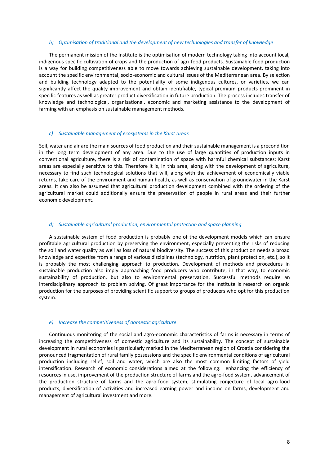#### *b) Optimisation of traditional and the development of new technologies and transfer of knowledge*

The permanent mission of the Institute is the optimisation of modern technology taking into account local, indigenous specific cultivation of crops and the production of agri-food products. Sustainable food production is a way for building competitiveness able to move towards achieving sustainable development, taking into account the specific environmental, socio-economic and cultural issues of the Mediterranean area. By selection and building technology adapted to the potentiality of some indigenous cultures, or varieties, we can significantly affect the quality improvement and obtain identifiable, typical premium products prominent in specific features as well as greater product diversification in future production. The process includes transfer of knowledge and technological, organisational, economic and marketing assistance to the development of farming with an emphasis on sustainable management methods.

#### *c) Sustainable management of ecosystems in the Karst areas*

Soil, water and air are the main sources of food production and their sustainable management is a precondition in the long term development of any area. Due to the use of large quantities of production inputs in conventional agriculture, there is a risk of contamination of space with harmful chemical substances; Karst areas are especially sensitive to this. Therefore it is, in this area, along with the development of agriculture, necessary to find such technological solutions that will, along with the achievement of economically viable returns, take care of the environment and human health, as well as conservation of groundwater in the Karst areas. It can also be assumed that agricultural production development combined with the ordering of the agricultural market could additionally ensure the preservation of people in rural areas and their further economic development.

#### *d) Sustainable agricultural production, environmental protection and space planning*

A sustainable system of food production is probably one of the development models which can ensure profitable agricultural production by preserving the environment, especially preventing the risks of reducing the soil and water quality as well as loss of natural biodiversity. The success of this production needs a broad knowledge and expertise from a range of various disciplines (technology, nutrition, plant protection, etc.), so it is probably the most challenging approach to production. Development of methods and procedures in sustainable production also imply approaching food producers who contribute, in that way, to economic sustainability of production, but also to environmental preservation. Successful methods require an interdisciplinary approach to problem solving. Of great importance for the Institute is research on organic production for the purposes of providing scientific support to groups of producers who opt for this production system.

#### *e) Increase the competitiveness of domestic agriculture*

Continuous monitoring of the social and agro-economic characteristics of farms is necessary in terms of increasing the competitiveness of domestic agriculture and its sustainability. The concept of sustainable development in rural economies is particularly marked in the Mediterranean region of Croatia considering the pronounced fragmentation of rural family possessions and the specific environmental conditions of agricultural production including relief, soil and water, which are also the most common limiting factors of yield intensification. Research of economic considerations aimed at the following: enhancing the efficiency of resources in use, improvement of the production structure of farms and the agro-food system, advancement of the production structure of farms and the agro-food system, stimulating conjecture of local agro-food products, diversification of activities and increased earning power and income on farms, development and management of agricultural investment and more.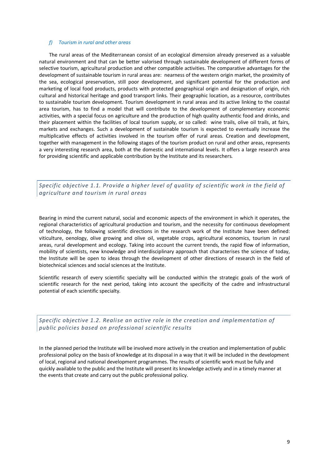#### *f) Tourism in rural and other areas*

The rural areas of the Mediterranean consist of an ecological dimension already preserved as a valuable natural environment and that can be better valorised through sustainable development of different forms of selective tourism, agricultural production and other compatible activities. The comparative advantages for the development of sustainable tourism in rural areas are: nearness of the western origin market, the proximity of the sea, ecological preservation, still poor development, and significant potential for the production and marketing of local food products, products with protected geographical origin and designation of origin, rich cultural and historical heritage and good transport links. Their geographic location, as a resource, contributes to sustainable tourism development. Tourism development in rural areas and its active linking to the coastal area tourism, has to find a model that will contribute to the development of complementary economic activities, with a special focus on agriculture and the production of high quality authentic food and drinks, and their placement within the facilities of local tourism supply, or so called: wine trails, olive oil trails, at fairs, markets and exchanges. Such a development of sustainable tourism is expected to eventually increase the multiplicative effects of activities involved in the tourism offer of rural areas. Creation and development, together with management in the following stages of the tourism product on rural and other areas, represents a very interesting research area, both at the domestic and international levels. It offers a large research area for providing scientific and applicable contribution by the Institute and its researchers.

<span id="page-10-0"></span>*Specific objective 1.1. Provide a higher level of quality of scientific work in the field of agriculture and tourism in rural areas*

Bearing in mind the current natural, social and economic aspects of the environment in which it operates, the regional characteristics of agricultural production and tourism, and the necessity for continuous development of technology, the following scientific directions in the research work of the Institute have been defined: viticulture, oenology, olive growing and olive oil, vegetable crops, agricultural economics, tourism in rural areas, rural development and ecology. Taking into account the current trends, the rapid flow of information, mobility of scientists, new knowledge and interdisciplinary approach that characterises the science of today, the Institute will be open to ideas through the development of other directions of research in the field of biotechnical sciences and social sciences at the Institute.

Scientific research of every scientific specialty will be conducted within the strategic goals of the work of scientific research for the next period, taking into account the specificity of the cadre and infrastructural potential of each scientific specialty.

<span id="page-10-1"></span>*Specific objective 1.2. Realise an active role in the creation and implementation of public policies based on professional scientific results* 

In the planned period the Institute will be involved more actively in the creation and implementation of public professional policy on the basis of knowledge at its disposal in a way that it will be included in the development of local, regional and national development programmes. The results of scientific work must be fully and quickly available to the public and the Institute will present its knowledge actively and in a timely manner at the events that create and carry out the public professional policy.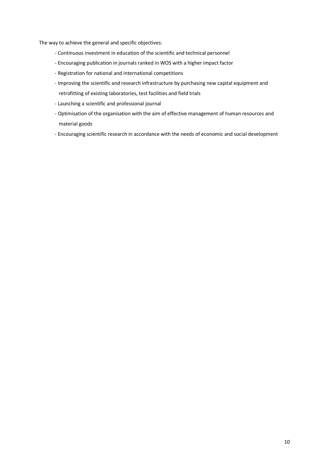The way to achieve the general and specific objectives:

- Continuous investment in education of the scientific and technical personnel
- Encouraging publication in journals ranked in WOS with a higher impact factor
- Registration for national and international competitions
- Improving the scientific and research infrastructure by purchasing new capital equipment and retrofitting of existing laboratories, test facilities and field trials
- Launching a scientific and professional journal
- Optimisation of the organisation with the aim of effective management of human resources and material goods
- Encouraging scientific research in accordance with the needs of economic and social development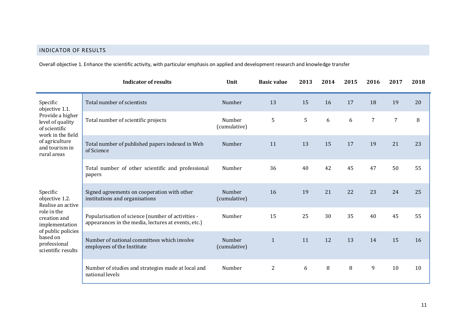## INDICATOR OF RESULTS

Overall objective 1. Enhance the scientific activity, with particular emphasis on applied and development research and knowledge transfer

<span id="page-12-0"></span>

|                                                                                                                                                                          | <b>Indicator of results</b>                                                                              | Unit                   | <b>Basic value</b> | 2013 | 2014 | 2015 | 2016 | 2017           | 2018 |
|--------------------------------------------------------------------------------------------------------------------------------------------------------------------------|----------------------------------------------------------------------------------------------------------|------------------------|--------------------|------|------|------|------|----------------|------|
| Specific<br>objective 1.1.<br>Provide a higher<br>level of quality<br>of scientific<br>work in the field                                                                 | Total number of scientists                                                                               | Number                 | 13                 | 15   | 16   | 17   | 18   | 19             | 20   |
|                                                                                                                                                                          | Total number of scientific projects                                                                      | Number<br>(cumulative) | 5                  | 5    | 6    | 6    | 7    | $\overline{7}$ | 8    |
| of agriculture<br>and tourism in<br>rural areas                                                                                                                          | Total number of published papers indexed in Web<br>of Science                                            | Number                 | 11                 | 13   | 15   | 17   | 19   | 21             | 23   |
|                                                                                                                                                                          | Total number of other scientific and professional<br>papers                                              | Number                 | 36                 | 40   | 42   | 45   | 47   | 50             | 55   |
| Specific<br>objective 1.2.<br>Realise an active<br>role in the<br>creation and<br>implementation<br>of public policies<br>based on<br>professional<br>scientific results | Signed agreements on cooperation with other<br>institutions and organisations                            | Number<br>(cumulative) | 16                 | 19   | 21   | 22   | 23   | 24             | 25   |
|                                                                                                                                                                          | Popularisation of science (number of activities -<br>appearances in the media, lectures at events, etc.) | Number                 | 15                 | 25   | 30   | 35   | 40   | 45             | 55   |
|                                                                                                                                                                          | Number of national committees which involve<br>employees of the Institute                                | Number<br>(cumulative) | $\mathbf{1}$       | 11   | 12   | 13   | 14   | 15             | 16   |
|                                                                                                                                                                          | Number of studies and strategies made at local and<br>national levels                                    | Number                 | $\mathbf{2}$       | 6    | 8    | 8    | 9    | 10             | 10   |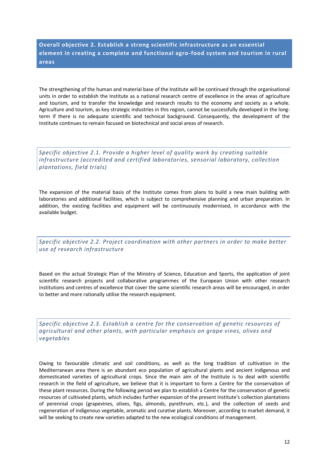<span id="page-13-0"></span>**Overall objective 2. Establish a strong scientific infrastructure as an essential element in creating a complete and functional agro-food system and tourism in rural areas** 

The strengthening of the human and material base of the Institute will be continued through the organisational units in order to establish the Institute as a national research centre of excellence in the areas of agriculture and tourism, and to transfer the knowledge and research results to the economy and society as a whole. Agriculture and tourism, as key strategic industries in this region, cannot be successfully developed in the longterm if there is no adequate scientific and technical background. Consequently, the development of the Institute continues to remain focused on biotechnical and social areas of research.

<span id="page-13-1"></span>*Specific objective 2.1. Provide a higher level of quality work by creating suitable infrastructure (accredited and certified laboratories, sensorial laboratory, collection plantations, field trials)*

The expansion of the material basis of the Institute comes from plans to build a new main building with laboratories and additional facilities, which is subject to comprehensive planning and urban preparation. In addition, the existing facilities and equipment will be continuously modernised, in accordance with the available budget.

<span id="page-13-2"></span>*Specific objective 2.2. Project coordination with other partners in order to make better use of research infrastructure*

Based on the actual Strategic Plan of the Ministry of Science, Education and Sports, the application of joint scientific research projects and collaborative programmes of the European Union with other research institutions and centres of excellence that cover the same scientific research areas will be encouraged, in order to better and more rationally utilise the research equipment.

<span id="page-13-3"></span>*Specific objective 2.3. Establish a centre for the conservation of genetic resources of agricultural and other plants, with particular emphasis on grape vines, olives and vegetables* 

Owing to favourable climatic and soil conditions, as well as the long tradition of cultivation in the Mediterranean area there is an abundant eco population of agricultural plants and ancient indigenous and domesticated varieties of agricultural crops. Since the main aim of the Institute is to deal with scientific research in the field of agriculture, we believe that it is important to form a Centre for the conservation of these plant resources. During the following period we plan to establish a Centre for the conservation of genetic resources of cultivated plants, which includes further expansion of the present Institute's collection plantations of perennial crops (grapevines, olives, figs, almonds, pyrethrum, etc.), and the collection of seeds and regeneration of indigenous vegetable, aromatic and curative plants. Moreover, according to market demand, it will be seeking to create new varieties adapted to the new ecological conditions of management.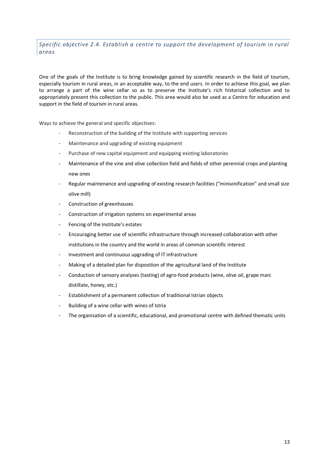<span id="page-14-0"></span>*Specific objective 2.4. Establish a centre to support the development of tourism in rural areas* 

One of the goals of the Institute is to bring knowledge gained by scientific research in the field of tourism, especially tourism in rural areas, in an acceptable way, to the end users. In order to achieve this goal, we plan to arrange a part of the wine cellar so as to preserve the Institute's rich historical collection and to appropriately present this collection to the public. This area would also be used as a Centre for education and support in the field of tourism in rural areas.

Ways to achieve the general and specific objectives:

- Reconstruction of the building of the Institute with supporting services
- Maintenance and upgrading of existing equipment
- Purchase of new capital equipment and equipping existing laboratories
- Maintenance of the vine and olive collection field and fields of other perennial crops and planting new ones
- Regular maintenance and upgrading of existing research facilities ("minivinification" and small size olive mill)
- Construction of greenhouses
- Construction of irrigation systems on experimental areas
- Fencing of the Institute's estates
- Encouraging better use of scientific infrastructure through increased collaboration with other institutions in the country and the world in areas of common scientific interest
- Investment and continuous upgrading of IT infrastructure
- Making of a detailed plan for disposition of the agricultural land of the Institute
- Conduction of sensory analyses (tasting) of agro-food products (wine, olive oil, grape marc distillate, honey, etc.)
- Establishment of a permanent collection of traditional Istrian objects
- Building of a wine cellar with wines of Istria
- The organisation of a scientific, educational, and promotional centre with defined thematic units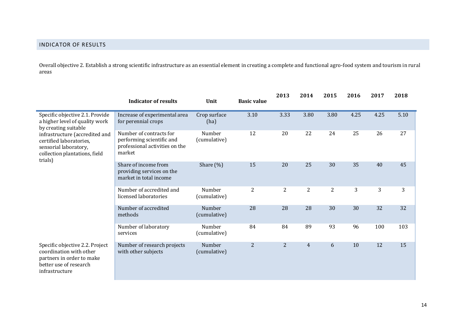Overall objective 2. Establish a strong scientific infrastructure as an essential element in creating a complete and functional agro-food system and tourism in rural areas

<span id="page-15-0"></span>

|                                                                                                                                     | <b>Indicator of results</b>                                                                      | Unit                   | <b>Basic value</b> | 2013           | 2014           | 2015           | 2016 | 2017 | 2018 |
|-------------------------------------------------------------------------------------------------------------------------------------|--------------------------------------------------------------------------------------------------|------------------------|--------------------|----------------|----------------|----------------|------|------|------|
| Specific objective 2.1. Provide<br>a higher level of quality work<br>by creating suitable                                           | Increase of experimental area<br>for perennial crops                                             | Crop surface<br>(ha)   | 3.10               | 3.33           | 3.80           | 3.80           | 4.25 | 4.25 | 5.10 |
| infrastructure (accredited and<br>certified laboratories,<br>sensorial laboratory,<br>collection plantations, field<br>trials)      | Number of contracts for<br>performing scientific and<br>professional activities on the<br>market | Number<br>(cumulative) | 12                 | 20             | 22             | 24             | 25   | 26   | 27   |
|                                                                                                                                     | Share of income from<br>providing services on the<br>market in total income                      | Share $(\%)$           | 15                 | 20             | 25             | 30             | 35   | 40   | 45   |
|                                                                                                                                     | Number of accredited and<br>licensed laboratories                                                | Number<br>(cumulative) | $\overline{2}$     | $\overline{2}$ | $\overline{c}$ | $\overline{2}$ | 3    | 3    | 3    |
|                                                                                                                                     | Number of accredited<br>methods                                                                  | Number<br>(cumulative) | 28                 | 28             | 28             | 30             | 30   | 32   | 32   |
|                                                                                                                                     | Number of laboratory<br>services                                                                 | Number<br>(cumulative) | 84                 | 84             | 89             | 93             | 96   | 100  | 103  |
| Specific objective 2.2. Project<br>coordination with other<br>partners in order to make<br>better use of research<br>infrastructure | Number of research projects<br>with other subjects                                               | Number<br>(cumulative) | $\overline{2}$     | 2              | $\overline{4}$ | 6              | 10   | 12   | 15   |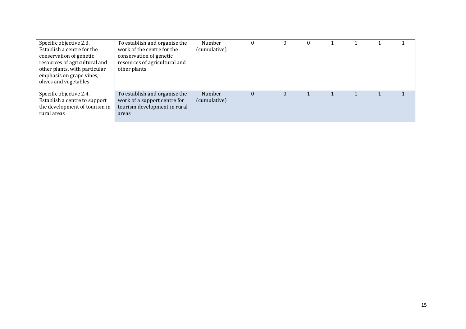| Specific objective 2.3.<br>Establish a centre for the<br>conservation of genetic<br>resources of agricultural and<br>other plants, with particular<br>emphasis on grape vines,<br>olives and vegetables | To establish and organise the<br>work of the centre for the<br>conservation of genetic<br>resources of agricultural and<br>other plants | Number<br>(cumulative) | $\boldsymbol{0}$ |  |  |  |
|---------------------------------------------------------------------------------------------------------------------------------------------------------------------------------------------------------|-----------------------------------------------------------------------------------------------------------------------------------------|------------------------|------------------|--|--|--|
| Specific objective 2.4.<br>Establish a centre to support<br>the development of tourism in<br>rural areas                                                                                                | To establish and organise the<br>work of a support centre for<br>tourism development in rural<br>areas                                  | Number<br>(cumulative) | $\theta$         |  |  |  |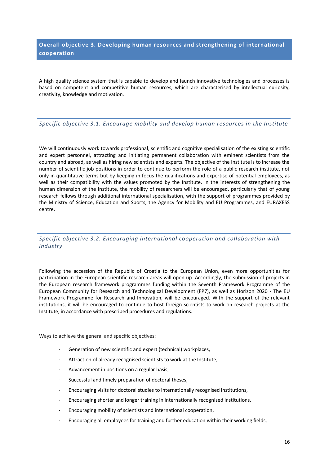## <span id="page-17-0"></span>**Overall objective 3. Developing human resources and strengthening of international cooperation**

A high quality science system that is capable to develop and launch innovative technologies and processes is based on competent and competitive human resources, which are characterised by intellectual curiosity, creativity, knowledge and motivation.

## <span id="page-17-1"></span>*Specific objective 3.1. Encourage mobility and develop human resources in the Institute*

We will continuously work towards professional, scientific and cognitive specialisation of the existing scientific and expert personnel, attracting and initiating permanent collaboration with eminent scientists from the country and abroad, as well as hiring new scientists and experts. The objective of the Institute is to increase the number of scientific job positions in order to continue to perform the role of a public research institute, not only in quantitative terms but by keeping in focus the qualifications and expertise of potential employees, as well as their compatibility with the values promoted by the Institute. In the interests of strengthening the human dimension of the Institute, the mobility of researchers will be encouraged, particularly that of young research fellows through additional international specialisation, with the support of programmes provided by the Ministry of Science, Education and Sports, the Agency for Mobility and EU Programmes, and EURAXESS centre.

## <span id="page-17-2"></span>*Specific objective 3.2. Encouraging international cooperation and collaboration with industry*

Following the accession of the Republic of Croatia to the European Union, even more opportunities for participation in the European scientific research areas will open up. Accordingly, the submission of projects in the European research framework programmes funding within the Seventh Framework Programme of the European Community for Research and Technological Development (FP7), as well as Horizon 2020 - The EU Framework Programme for Research and Innovation, will be encouraged. With the support of the relevant institutions, it will be encouraged to continue to host foreign scientists to work on research projects at the Institute, in accordance with prescribed procedures and regulations.

Ways to achieve the general and specific objectives:

- Generation of new scientific and expert (technical) workplaces,
- Attraction of already recognised scientists to work at the Institute,
- Advancement in positions on a regular basis.
- Successful and timely preparation of doctoral theses,
- Encouraging visits for doctoral studies to internationally recognised institutions,
- Encouraging shorter and longer training in internationally recognised institutions,
- Encouraging mobility of scientists and international cooperation,
- Encouraging all employees for training and further education within their working fields,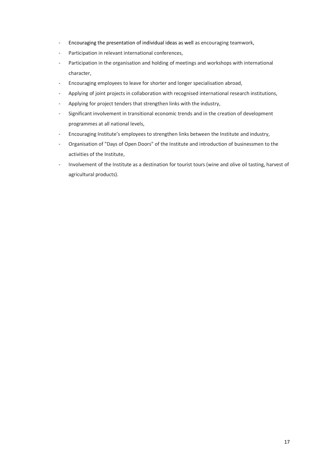- Encouraging the presentation of individual ideas as well as encouraging teamwork,
- Participation in relevant international conferences,
- Participation in the organisation and holding of meetings and workshops with international character,
- Encouraging employees to leave for shorter and longer specialisation abroad,
- Applying of joint projects in collaboration with recognised international research institutions,
- Applying for project tenders that strengthen links with the industry,
- Significant involvement in transitional economic trends and in the creation of development programmes at all national levels,
- Encouraging Institute's employees to strengthen links between the Institute and industry,
- Organisation of "Days of Open Doors" of the Institute and introduction of businessmen to the activities of the Institute,
- Involvement of the Institute as a destination for tourist tours (wine and olive oil tasting, harvest of agricultural products).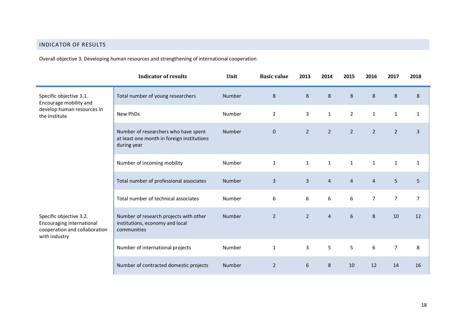## INDICATOR OF RESULTS

Overall objective 3. Developing human resources and strengthening of international cooperation

<span id="page-19-0"></span>

|                                                                                                        | <b>Indicator of results</b>                                                                       | Unit          | <b>Basic value</b> | 2013           | 2014           | 2015           | 2016           | 2017           | 2018           |
|--------------------------------------------------------------------------------------------------------|---------------------------------------------------------------------------------------------------|---------------|--------------------|----------------|----------------|----------------|----------------|----------------|----------------|
| Specific objective 3.1.<br>Encourage mobility and<br>develop human resources in<br>the Institute       | Total number of young researchers                                                                 | Number        | $\,8\,$            | $\,8\,$        | 8              | 8              | 8              | $\,8\,$        | $\,8\,$        |
|                                                                                                        | New PhDs                                                                                          | Number        | $\overline{2}$     | 3              | $\mathbf{1}$   | $\overline{2}$ | $\mathbf{1}$   | $\mathbf{1}$   | $\mathbf{1}$   |
|                                                                                                        | Number of researchers who have spent<br>at least one month in foreign institutions<br>during year | Number        | $\mathbf 0$        | $\overline{2}$ | $\overline{2}$ | $\overline{2}$ | $\overline{2}$ | $\overline{2}$ | $\overline{3}$ |
|                                                                                                        | Number of incoming mobility                                                                       | Number        | $\mathbf 1$        | $\mathbf{1}$   | $\mathbf{1}$   | $\mathbf{1}$   | $\mathbf{1}$   | $\mathbf{1}$   | $\mathbf 1$    |
|                                                                                                        | Total number of professional associates                                                           | <b>Number</b> | $\mathsf{3}$       | $\overline{3}$ | $\overline{4}$ | $\overline{4}$ | $\overline{4}$ | 5              | 5              |
|                                                                                                        | Total number of technical associates                                                              | Number        | 6                  | 6              | 6              | 6              | 7              | $\overline{7}$ | $\overline{7}$ |
| Specific objective 3.2.<br>Encouraging international<br>cooperation and collaboration<br>with industry | Number of research projects with other<br>institutions, economy and local<br>communities          | Number        | $\overline{2}$     | $\overline{2}$ | $\overline{4}$ | 6              | 8              | 10             | 12             |
|                                                                                                        | Number of international projects                                                                  | Number        | $\mathbf{1}$       | 3              | 5              | 5              | 6              | $\overline{7}$ | 8              |
|                                                                                                        | Number of contracted domestic projects                                                            | <b>Number</b> | $\overline{2}$     | 6              | 8              | 10             | 12             | 14             | 16             |